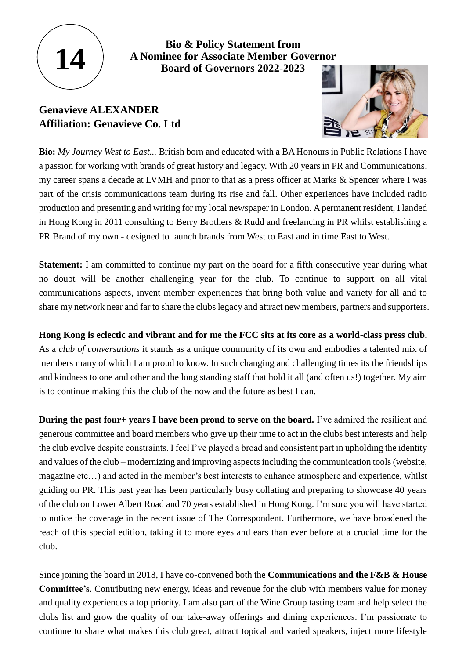

**Bio & Policy Statement from A Nominee for Associate Member Governor Board of Governors 2022-2023**

## **Genavieve ALEXANDER Affiliation: Genavieve Co. Ltd**



**Bio:** *My Journey West to East...* British born and educated with a BA Honours in Public Relations I have a passion for working with brands of great history and legacy. With 20 years in PR and Communications, my career spans a decade at LVMH and prior to that as a press officer at Marks & Spencer where I was part of the crisis communications team during its rise and fall. Other experiences have included radio production and presenting and writing for my local newspaper in London. A permanent resident, I landed in Hong Kong in 2011 consulting to Berry Brothers & Rudd and freelancing in PR whilst establishing a PR Brand of my own - designed to launch brands from West to East and in time East to West.

**Statement:** I am committed to continue my part on the board for a fifth consecutive year during what no doubt will be another challenging year for the club. To continue to support on all vital communications aspects, invent member experiences that bring both value and variety for all and to share my network near and far to share the clubs legacy and attract new members, partners and supporters.

## **Hong Kong is eclectic and vibrant and for me the FCC sits at its core as a world-class press club.**

As a *club of conversations* it stands as a unique community of its own and embodies a talented mix of members many of which I am proud to know. In such changing and challenging times its the friendships and kindness to one and other and the long standing staff that hold it all (and often us!) together. My aim is to continue making this the club of the now and the future as best I can.

**During the past four+ years I have been proud to serve on the board.** I've admired the resilient and generous committee and board members who give up their time to act in the clubs best interests and help the club evolve despite constraints. I feel I've played a broad and consistent part in upholding the identity and values of the club – modernizing and improving aspects including the communication tools (website, magazine etc…) and acted in the member's best interests to enhance atmosphere and experience, whilst guiding on PR. This past year has been particularly busy collating and preparing to showcase 40 years of the club on Lower Albert Road and 70 years established in Hong Kong. I'm sure you will have started to notice the coverage in the recent issue of The Correspondent. Furthermore, we have broadened the reach of this special edition, taking it to more eyes and ears than ever before at a crucial time for the club.

Since joining the board in 2018, I have co-convened both the **Communications and the F&B & House Committee's**. Contributing new energy, ideas and revenue for the club with members value for money and quality experiences a top priority. I am also part of the Wine Group tasting team and help select the clubs list and grow the quality of our take-away offerings and dining experiences. I'm passionate to continue to share what makes this club great, attract topical and varied speakers, inject more lifestyle